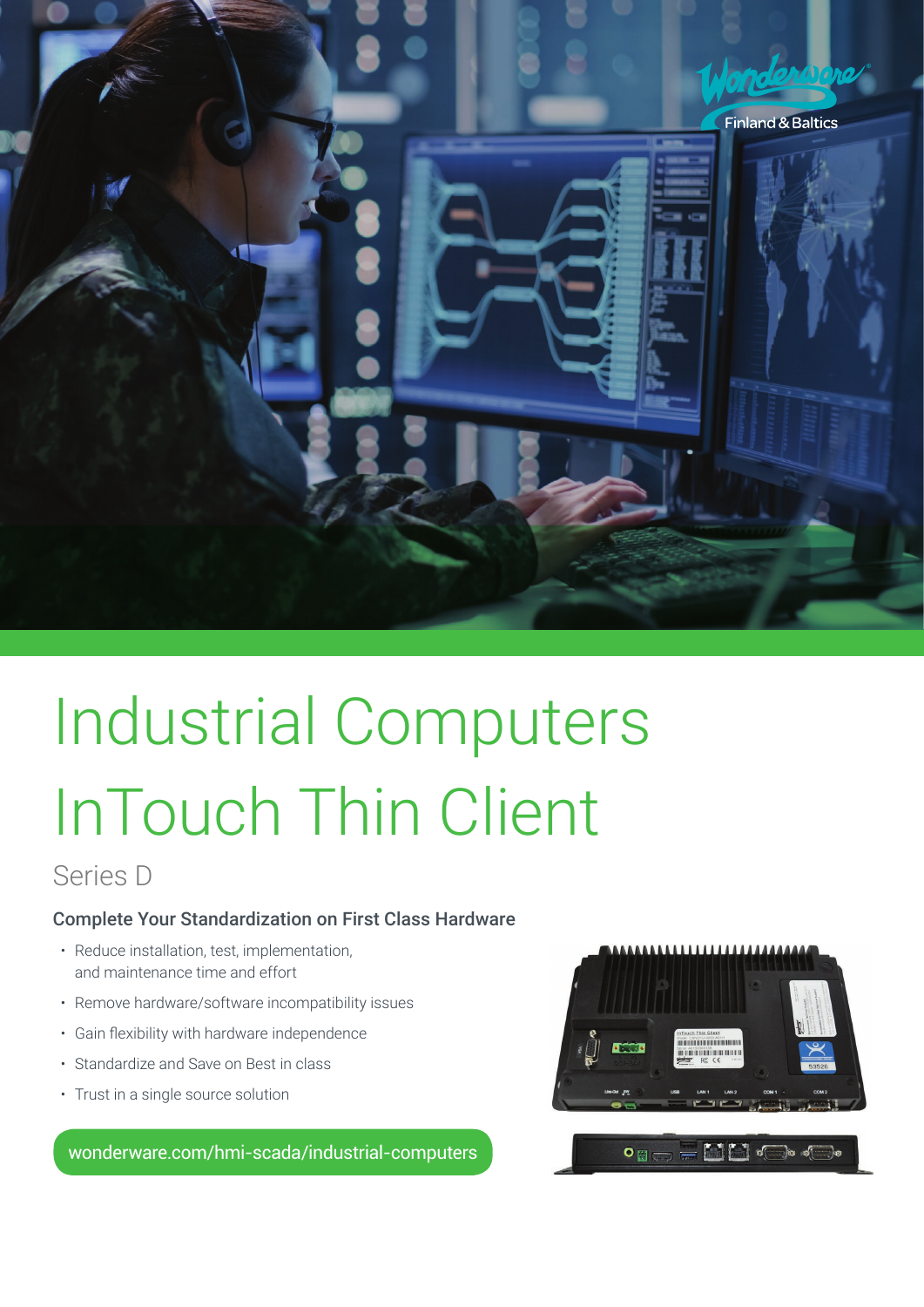

# Industrial Computers InTouch Thin Client

## Series D

### Complete Your Standardization on First Class Hardware

- Reduce installation, test, implementation, and maintenance time and effort
- Remove hardware/software incompatibility issues
- • Gain flexibility with hardware independence
- Standardize and Save on Best in class
- Trust in a single source solution

wonderware.com/hmi-scada/industrial-computers

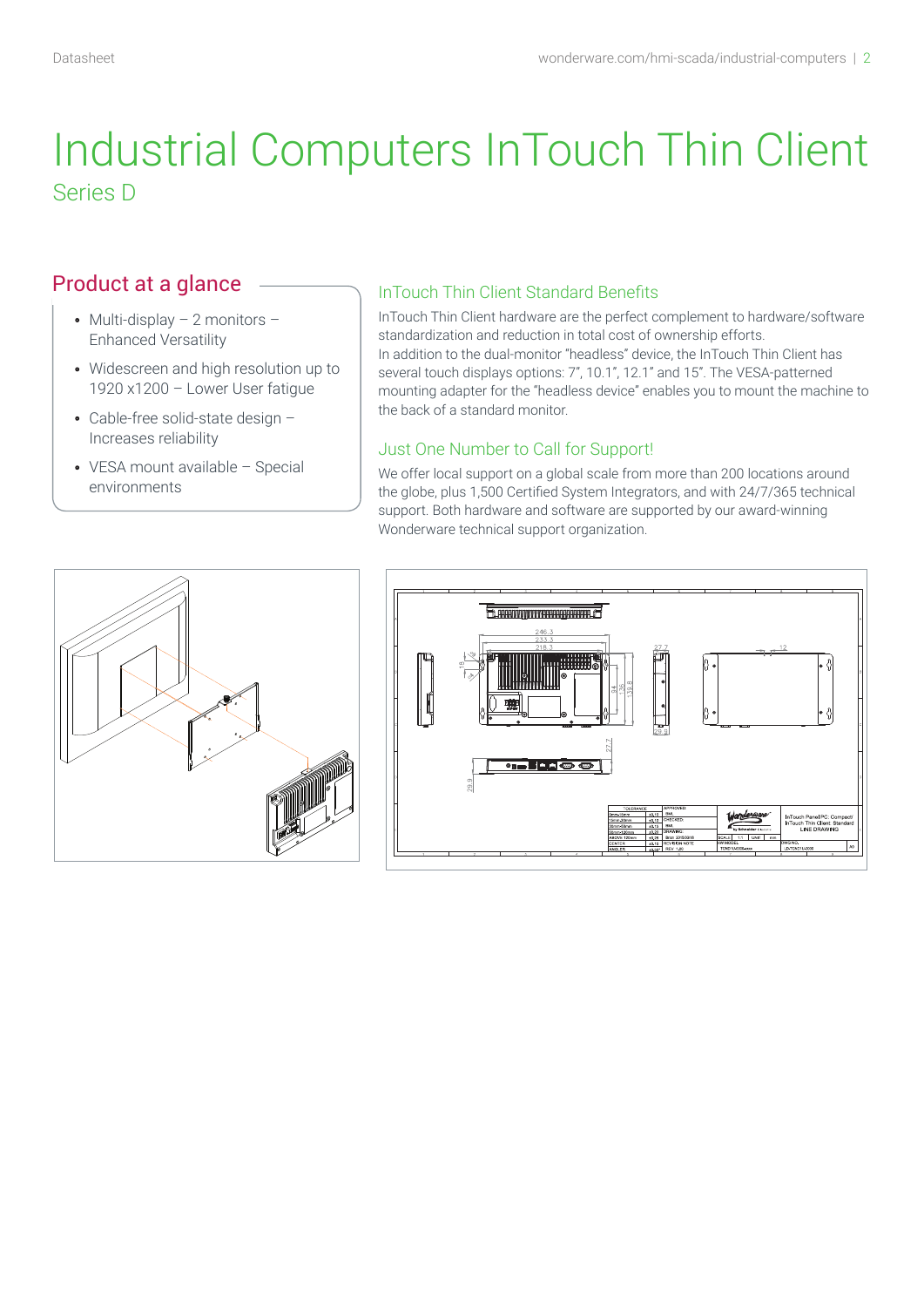# Industrial Computers InTouch Thin Client Series D

### Product at a glance

- Multi-display  $-2$  monitors  $-$ Enhanced Versatility
- Widescreen and high resolution up to 1920 x1200 – Lower User fatigue
- Cable-free solid-state design Increases reliability
- VESA mount available Special environments

### InTouch Thin Client Standard Benefits

InTouch Thin Client hardware are the perfect complement to hardware/software standardization and reduction in total cost of ownership efforts. In addition to the dual-monitor "headless" device, the InTouch Thin Client has several touch displays options: 7", 10.1", 12.1" and 15". The VESA-patterned mounting adapter for the "headless device" enables you to mount the machine to the back of a standard monitor.

#### Just One Number to Call for Support!

We offer local support on a global scale from more than 200 locations around the globe, plus 1,500 Certified System Integrators, and with 24/7/365 technical support. Both hardware and software are supported by our award-winning Wonderware technical support organization.



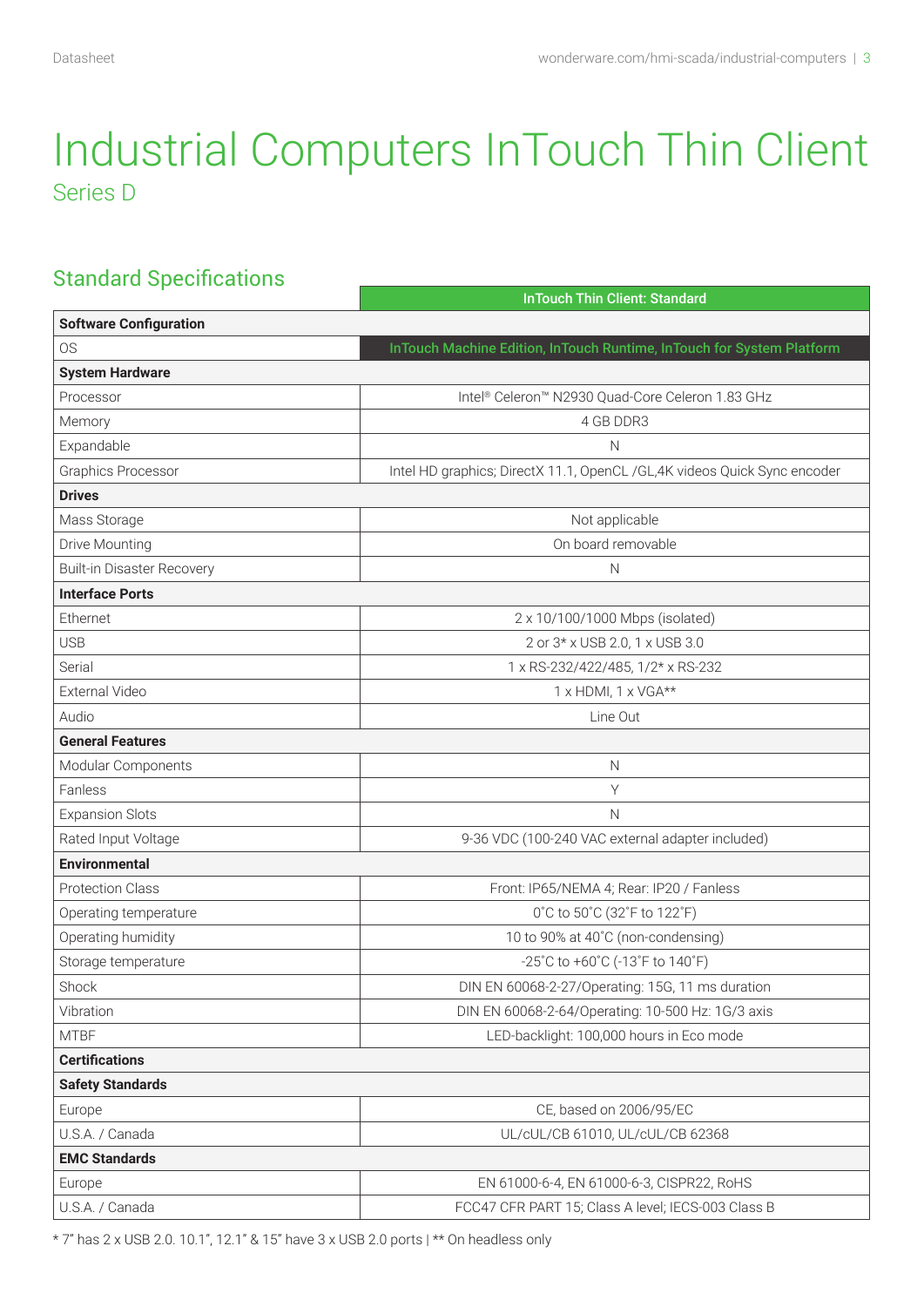# Industrial Computers InTouch Thin Client Series D

### Standard Specifications

|                                   | <b>InTouch Thin Client: Standard</b>                                     |  |  |  |  |
|-----------------------------------|--------------------------------------------------------------------------|--|--|--|--|
| <b>Software Configuration</b>     |                                                                          |  |  |  |  |
| <b>OS</b>                         | InTouch Machine Edition, InTouch Runtime, InTouch for System Platform    |  |  |  |  |
| <b>System Hardware</b>            |                                                                          |  |  |  |  |
| Processor                         | Intel® Celeron™ N2930 Quad-Core Celeron 1.83 GHz                         |  |  |  |  |
| Memory                            | 4 GB DDR3                                                                |  |  |  |  |
| Expandable                        | N                                                                        |  |  |  |  |
| <b>Graphics Processor</b>         | Intel HD graphics; DirectX 11.1, OpenCL /GL,4K videos Quick Sync encoder |  |  |  |  |
| <b>Drives</b>                     |                                                                          |  |  |  |  |
| Mass Storage                      | Not applicable                                                           |  |  |  |  |
| Drive Mounting                    | On board removable                                                       |  |  |  |  |
| <b>Built-in Disaster Recovery</b> | $\mathsf{N}$                                                             |  |  |  |  |
| <b>Interface Ports</b>            |                                                                          |  |  |  |  |
| Ethernet                          | 2 x 10/100/1000 Mbps (isolated)                                          |  |  |  |  |
| <b>USB</b>                        | 2 or 3* x USB 2.0, 1 x USB 3.0                                           |  |  |  |  |
| Serial                            | 1 x RS-232/422/485, 1/2* x RS-232                                        |  |  |  |  |
| External Video                    | 1 x HDMI, 1 x VGA**                                                      |  |  |  |  |
| Audio                             | Line Out                                                                 |  |  |  |  |
| <b>General Features</b>           |                                                                          |  |  |  |  |
| Modular Components                | $\mathsf{N}$                                                             |  |  |  |  |
| Fanless                           | Υ                                                                        |  |  |  |  |
| <b>Expansion Slots</b>            | N                                                                        |  |  |  |  |
| Rated Input Voltage               | 9-36 VDC (100-240 VAC external adapter included)                         |  |  |  |  |
| <b>Environmental</b>              |                                                                          |  |  |  |  |
| <b>Protection Class</b>           | Front: IP65/NEMA 4; Rear: IP20 / Fanless                                 |  |  |  |  |
| Operating temperature             | 0°C to 50°C (32°F to 122°F)                                              |  |  |  |  |
| Operating humidity                | 10 to 90% at 40°C (non-condensing)                                       |  |  |  |  |
| Storage temperature               | -25°C to +60°C (-13°F to 140°F)                                          |  |  |  |  |
| Shock                             | DIN EN 60068-2-27/Operating: 15G, 11 ms duration                         |  |  |  |  |
| Vibration                         | DIN EN 60068-2-64/Operating: 10-500 Hz: 1G/3 axis                        |  |  |  |  |
| <b>MTBF</b>                       | LED-backlight: 100,000 hours in Eco mode                                 |  |  |  |  |
| <b>Certifications</b>             |                                                                          |  |  |  |  |
| <b>Safety Standards</b>           |                                                                          |  |  |  |  |
| Europe                            | CE, based on 2006/95/EC                                                  |  |  |  |  |
| U.S.A. / Canada                   | UL/cUL/CB 61010, UL/cUL/CB 62368                                         |  |  |  |  |
| <b>EMC Standards</b>              |                                                                          |  |  |  |  |
| Europe                            | EN 61000-6-4, EN 61000-6-3, CISPR22, RoHS                                |  |  |  |  |
| U.S.A. / Canada                   | FCC47 CFR PART 15; Class A level; IECS-003 Class B                       |  |  |  |  |
|                                   |                                                                          |  |  |  |  |

 $* 7"$  has 2 x USB 2.0. 10.1", 12.1" & 15" have 3 x USB 2.0 ports  $|**$  On headless only